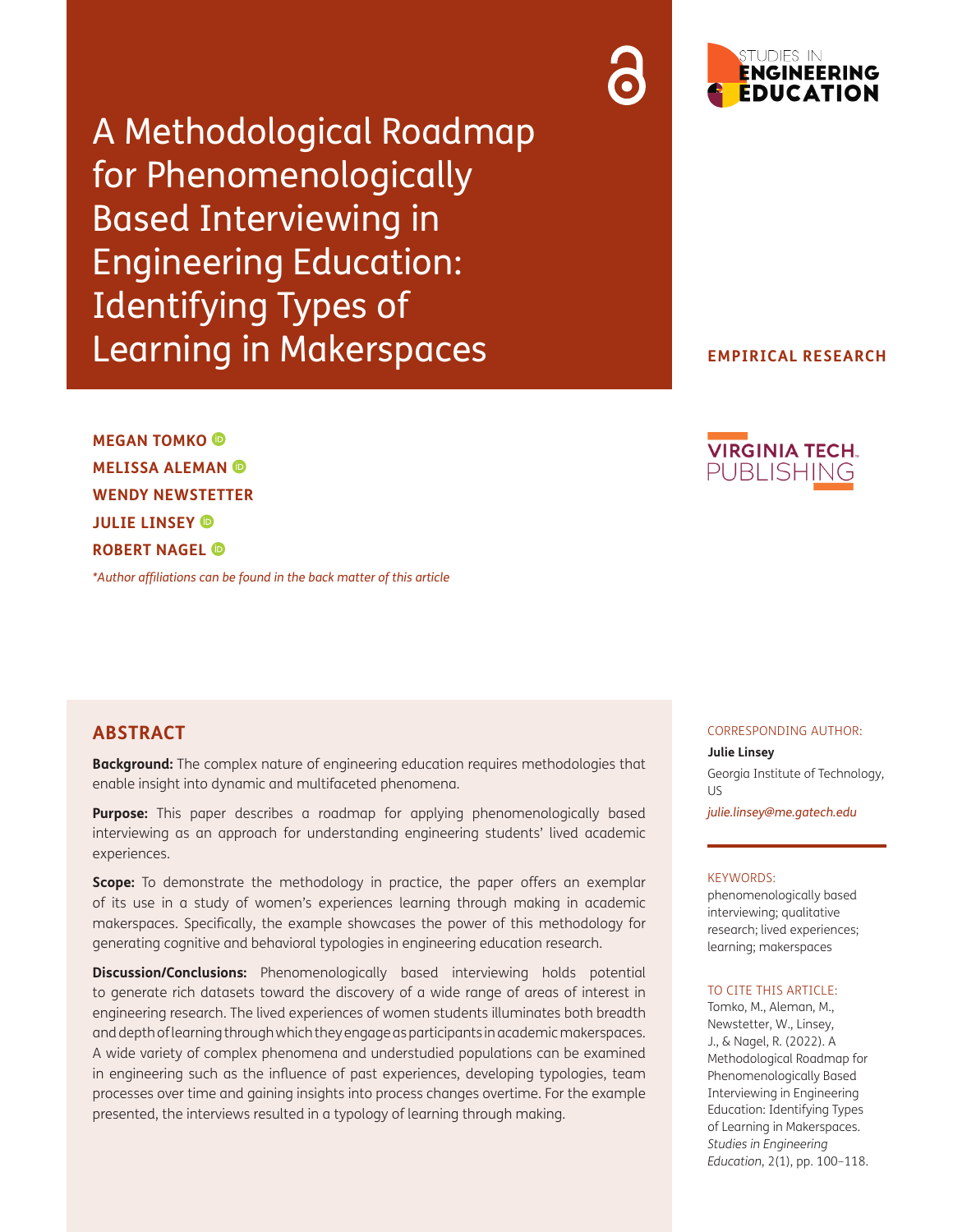A Methodological Roadmap for Phenomenologically Based Interviewing in Engineering Education: Identifying Types of Learning in Makerspaces

**MEGAN TOMKO MELISSA ALEMAN WENDY NEWSTETTER JULIE LINSEY ROBERT NAGEL** 

*\*[Author affiliations can be found in the back matter of this article](#page-15-0)*

# **ABSTRACT**

**Background:** The complex nature of engineering education requires methodologies that enable insight into dynamic and multifaceted phenomena.

**Purpose:** This paper describes a roadmap for applying phenomenologically based interviewing as an approach for understanding engineering students' lived academic experiences.

**Scope:** To demonstrate the methodology in practice, the paper offers an exemplar of its use in a study of women's experiences learning through making in academic makerspaces. Specifically, the example showcases the power of this methodology for generating cognitive and behavioral typologies in engineering education research.

**Discussion/Conclusions:** Phenomenologically based interviewing holds potential to generate rich datasets toward the discovery of a wide range of areas of interest in engineering research. The lived experiences of women students illuminates both breadth and depth of learning through which they engage as participants in academic makerspaces. A wide variety of complex phenomena and understudied populations can be examined in engineering such as the influence of past experiences, developing typologies, team processes over time and gaining insights into process changes overtime. For the example presented, the interviews resulted in a typology of learning through making.





## **EMPIRICAL RESEARCH**



#### CORRESPONDING AUTHOR:

**Julie Linsey**

Georgia Institute of Technology, US

*[julie.linsey@me.gatech.edu](mailto:julie.linsey@me.gatech.edu)*

#### KEYWORDS:

phenomenologically based interviewing; qualitative research; lived experiences; learning; makerspaces

#### TO CITE THIS ARTICLE:

Tomko, M., Aleman, M., Newstetter, W., Linsey, J., & Nagel, R. (2022). A Methodological Roadmap for Phenomenologically Based Interviewing in Engineering Education: Identifying Types of Learning in Makerspaces. *Studies in Engineering Education*, 2(1), pp. 100–118.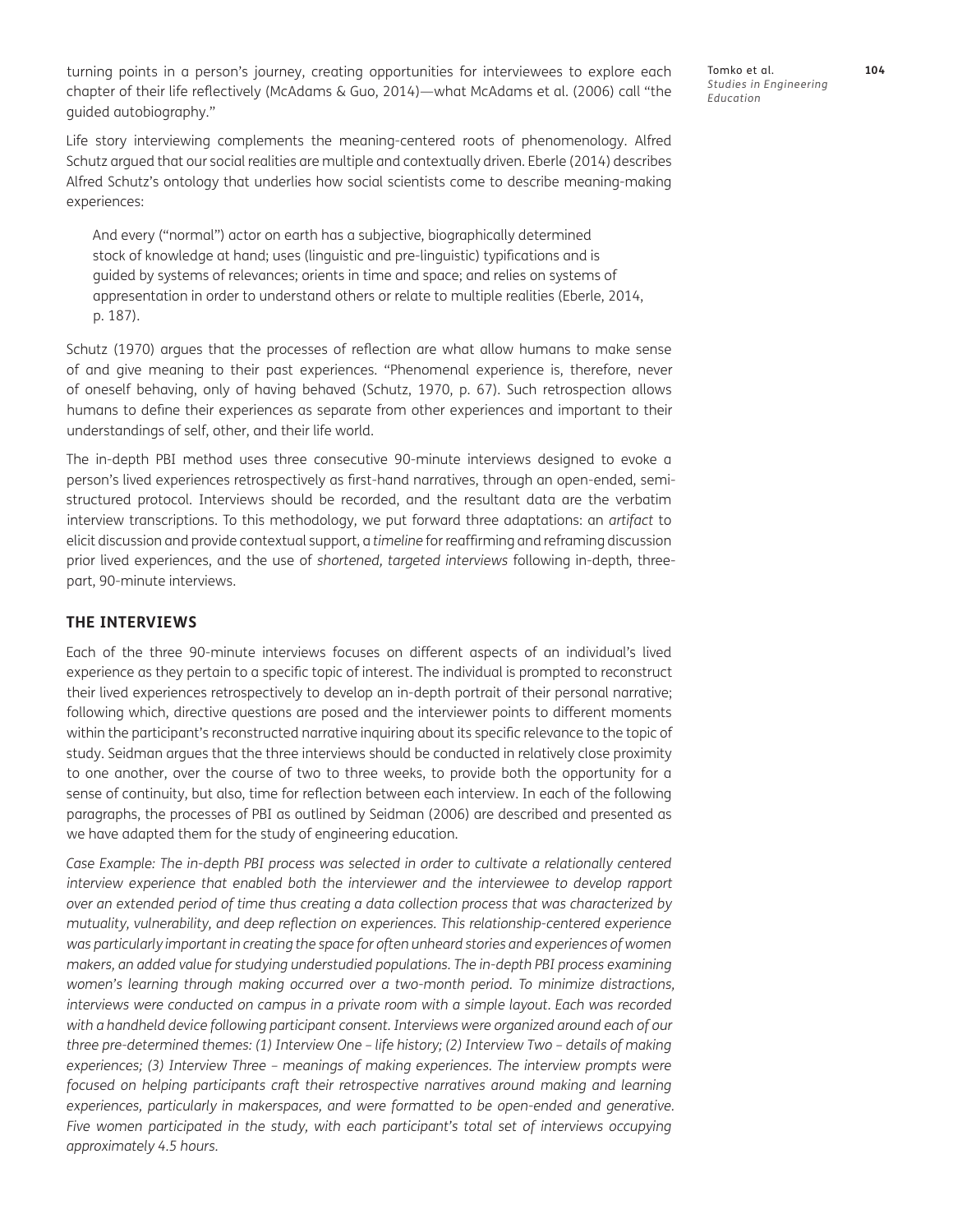turning points in a person's journey, creating opportunities for interviewees to explore each chapter of their life reflectively [\(McAdams & Guo, 2014\)](#page-17-0)—what [McAdams et al. \(2006\) c](#page-17-0)all "the guided autobiography."

Life story interviewing complements the meaning-centered roots of phenomenology. Alfred Schutz argued that our social realities are multiple and contextually driven. [Eberle \(2014\)](#page-16-0) describes Alfred Schutz's ontology that underlies how social scientists come to describe meaning-making experiences:

And every ("normal") actor on earth has a subjective, biographically determined stock of knowledge at hand; uses (linguistic and pre-linguistic) typifications and is guided by systems of relevances; orients in time and space; and relies on systems of appresentation in order to understand others or relate to multiple realities ([Eberle, 2014,](#page-16-0) p. 187).

[Schutz \(1970\)](#page-16-0) argues that the processes of reflection are what allow humans to make sense of and give meaning to their past experiences. "Phenomenal experience is, therefore, never of oneself behaving, only of having behaved ([Schutz, 1970](#page-18-0), p. 67). Such retrospection allows humans to define their experiences as separate from other experiences and important to their understandings of self, other, and their life world.

The in-depth PBI method uses three consecutive 90-minute interviews designed to evoke a person's lived experiences retrospectively as first-hand narratives, through an open-ended, semistructured protocol. Interviews should be recorded, and the resultant data are the verbatim interview transcriptions. To this methodology, we put forward three adaptations: an *artifact* to elicit discussion and provide contextual support, a *timeline* for reaffirming and reframing discussion prior lived experiences, and the use of *shortened, targeted interviews* following in-depth, threepart, 90-minute interviews.

### **THE INTERVIEWS**

Each of the three 90-minute interviews focuses on different aspects of an individual's lived experience as they pertain to a specific topic of interest. The individual is prompted to reconstruct their lived experiences retrospectively to develop an in-depth portrait of their personal narrative; following which, directive questions are posed and the interviewer points to different moments within the participant's reconstructed narrative inquiring about its specific relevance to the topic of study. Seidman argues that the three interviews should be conducted in relatively close proximity to one another, over the course of two to three weeks, to provide both the opportunity for a sense of continuity, but also, time for reflection between each interview. In each of the following paragraphs, the processes of PBI as outlined by [Seidman \(2006\)](#page-18-0) are described and presented as we have adapted them for the study of engineering education.

*Case Example: The in-depth PBI process was selected in order to cultivate a relationally centered interview experience that enabled both the interviewer and the interviewee to develop rapport over an extended period of time thus creating a data collection process that was characterized by mutuality, vulnerability, and deep reflection on experiences. This relationship-centered experience*  was particularly important in creating the space for often unheard stories and experiences of women *makers, an added value for studying understudied populations. The in-depth PBI process examining women's learning through making occurred over a two-month period. To minimize distractions, interviews were conducted on campus in a private room with a simple layout. Each was recorded*  with a handheld device following participant consent. Interviews were organized around each of our *three pre-determined themes: (1) Interview One – life history; (2) Interview Two – details of making experiences; (3) Interview Three – meanings of making experiences. The interview prompts were*  focused on helping participants craft their retrospective narratives around making and learning *experiences, particularly in makerspaces, and were formatted to be open-ended and generative.*  Five women participated in the study, with each participant's total set of interviews occupying *approximately 4.5 hours.*

Tomko et al. **104** *Studies in Engineering Education*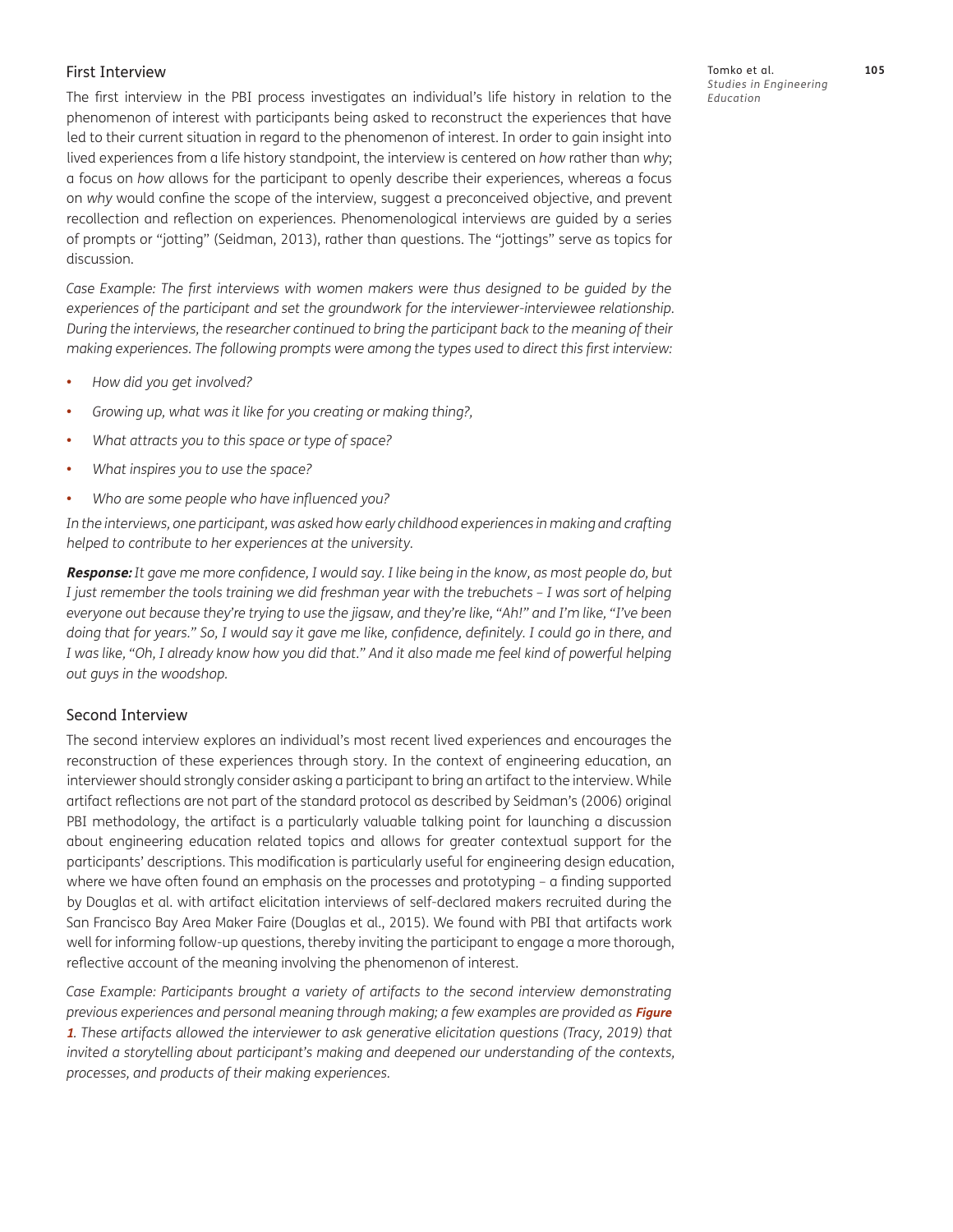## First Interview

The first interview in the PBI process investigates an individual's life history in relation to the phenomenon of interest with participants being asked to reconstruct the experiences that have led to their current situation in regard to the phenomenon of interest. In order to gain insight into lived experiences from a life history standpoint, the interview is centered on *how* rather than *why*; a focus on *how* allows for the participant to openly describe their experiences, whereas a focus on *why* would confine the scope of the interview, suggest a preconceived objective, and prevent recollection and reflection on experiences. Phenomenological interviews are guided by a series of prompts or "jotting" [\(Seidman, 2013](#page-18-0)), rather than questions. The "jottings" serve as topics for discussion.

*Case Example: The first interviews with women makers were thus designed to be guided by the experiences of the participant and set the groundwork for the interviewer-interviewee relationship. During the interviews, the researcher continued to bring the participant back to the meaning of their making experiences. The following prompts were among the types used to direct this first interview:*

- **•**  *How did you get involved?*
- **•**  *Growing up, what was it like for you creating or making thing?,*
- **•**  *What attracts you to this space or type of space?*
- **•**  *What inspires you to use the space?*
- **•**  *Who are some people who have influenced you?*

*In the interviews, one participant, was asked how early childhood experiences in making and crafting helped to contribute to her experiences at the university.*

**Response:** *It gave me more confidence, I would say. I like being in the know, as most people do, but I just remember the tools training we did freshman year with the trebuchets – I was sort of helping everyone out because they're trying to use the jigsaw, and they're like, "Ah!" and I'm like, "I've been doing that for years." So, I would say it gave me like, confidence, definitely. I could go in there, and I was like, "Oh, I already know how you did that." And it also made me feel kind of powerful helping out guys in the woodshop.*

## Second Interview

The second interview explores an individual's most recent lived experiences and encourages the reconstruction of these experiences through story. In the context of engineering education, an interviewer should strongly consider asking a participant to bring an artifact to the interview. While artifact reflections are not part of the standard protocol as described by [Seidman's \(2006\)](#page-18-0) original PBI methodology, the artifact is a particularly valuable talking point for launching a discussion about engineering education related topics and allows for greater contextual support for the participants' descriptions. This modification is particularly useful for engineering design education, where we have often found an emphasis on the processes and prototyping – a finding supported by Douglas et al. with artifact elicitation interviews of self-declared makers recruited during the San Francisco Bay Area Maker Faire ([Douglas et al., 2015\)](#page-14-0). We found with PBI that artifacts work well for informing follow-up questions, thereby inviting the participant to engage a more thorough, reflective account of the meaning involving the phenomenon of interest.

Case Example: Participants brought a variety of artifacts to the second interview demonstrating *previous experiences and personal meaning through making; a few examples are provided as Figure* **[1](#page-6-0)***. These artifacts allowed the interviewer to ask generative elicitation questions (Tracy, 2019) that invited a storytelling about participant's making and deepened our understanding of the contexts, processes, and products of their making experiences.*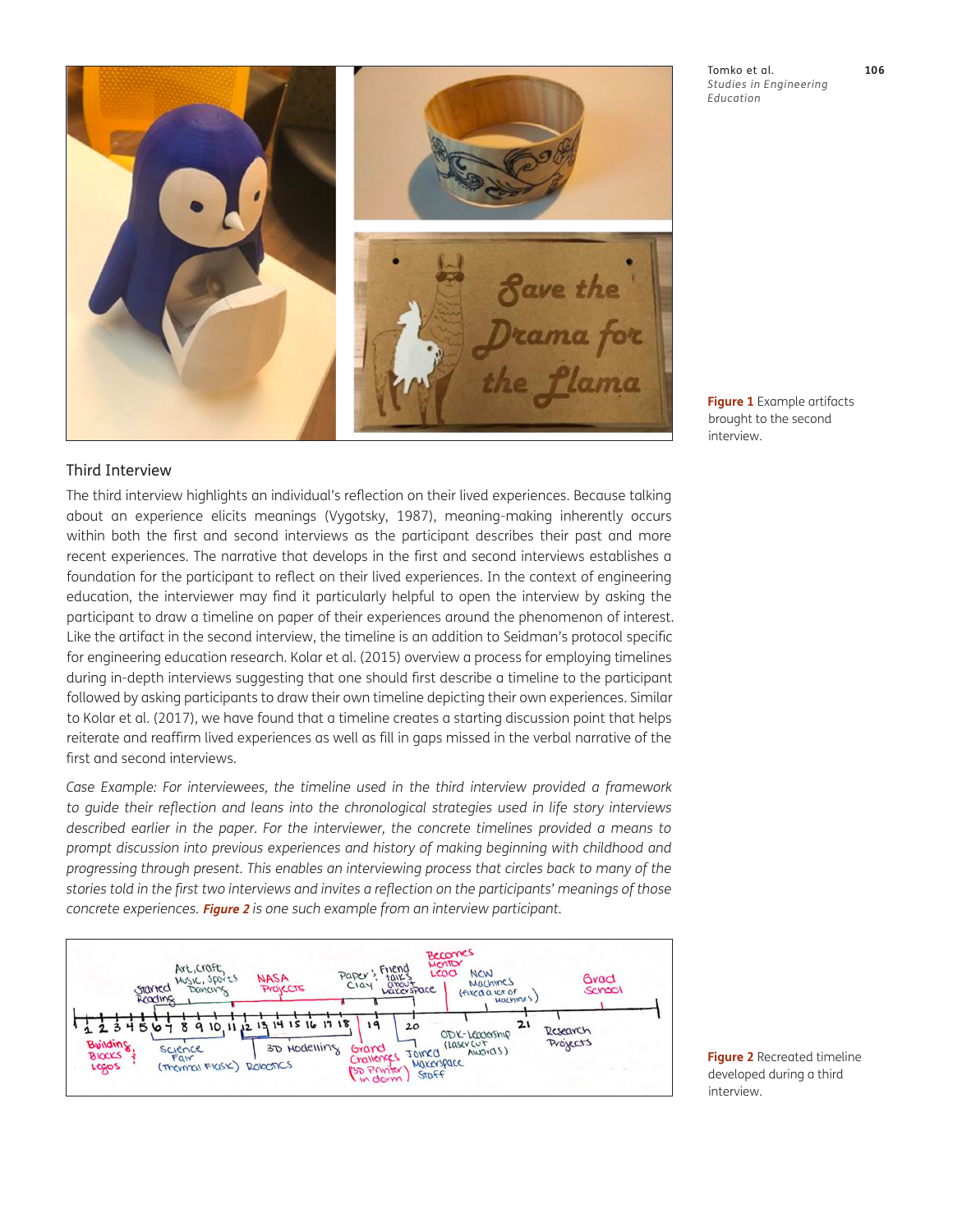

Tomko et al. **106** *Studies in Engineering Education*

<span id="page-6-0"></span>**Figure 1** Example artifacts brought to the second interview.

## Third Interview

The third interview highlights an individual's reflection on their lived experiences. Because talking about an experience elicits meanings [\(Vygotsky, 1987\)](#page-18-0), meaning-making inherently occurs within both the first and second interviews as the participant describes their past and more recent experiences. The narrative that develops in the first and second interviews establishes a foundation for the participant to reflect on their lived experiences. In the context of engineering education, the interviewer may find it particularly helpful to open the interview by asking the participant to draw a timeline on paper of their experiences around the phenomenon of interest. Like the artifact in the second interview, the timeline is an addition to Seidman's protocol specific for engineering education research. [Kolar et al. \(2015\)](#page-17-0) overview a process for employing timelines during in-depth interviews suggesting that one should first describe a timeline to the participant followed by asking participants to draw their own timeline depicting their own experiences. Similar to Kolar et al. (2017), we have found that a timeline creates a starting discussion point that helps reiterate and reaffirm lived experiences as well as fill in gaps missed in the verbal narrative of the first and second interviews.

*Case Example: For interviewees, the timeline used in the third interview provided a framework to guide their reflection and leans into the chronological strategies used in life story interviews described earlier in the paper. For the interviewer, the concrete timelines provided a means to prompt discussion into previous experiences and history of making beginning with childhood and progressing through present. This enables an interviewing process that circles back to many of the stories told in the first two interviews and invites a reflection on the participants' meanings of those concrete experiences.* **[Figure 2](#page-6-1)** *is one such example from an interview participant.*



<span id="page-6-1"></span>**Figure 2** Recreated timeline developed during a third interview.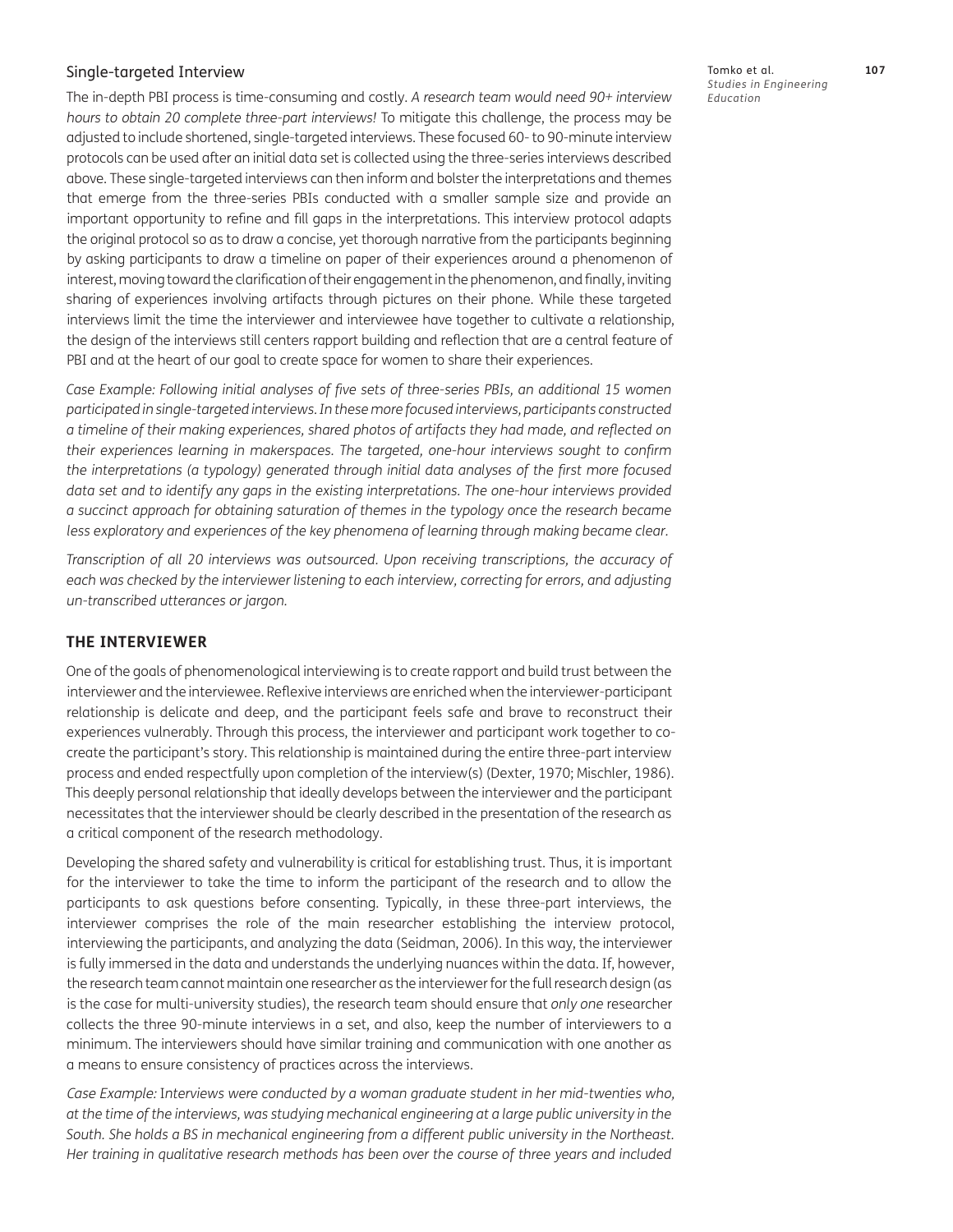## Single-targeted Interview

The in-depth PBI process is time-consuming and costly. *A research team would need 90+ interview hours to obtain 20 complete three-part interviews!* To mitigate this challenge, the process may be adjusted to include shortened, single-targeted interviews. These focused 60- to 90-minute interview protocols can be used after an initial data set is collected using the three-series interviews described above. These single-targeted interviews can then inform and bolster the interpretations and themes that emerge from the three-series PBIs conducted with a smaller sample size and provide an important opportunity to refine and fill gaps in the interpretations. This interview protocol adapts the original protocol so as to draw a concise, yet thorough narrative from the participants beginning by asking participants to draw a timeline on paper of their experiences around a phenomenon of interest, moving toward the clarification of their engagement in the phenomenon, and finally, inviting sharing of experiences involving artifacts through pictures on their phone. While these targeted interviews limit the time the interviewer and interviewee have together to cultivate a relationship, the design of the interviews still centers rapport building and reflection that are a central feature of PBI and at the heart of our goal to create space for women to share their experiences.

Case Example: Following initial analyses of five sets of three-series PBIs, an additional 15 women *participated in single-targeted interviews. In these more focused interviews, participants constructed a timeline of their making experiences, shared photos of artifacts they had made, and reflected on their experiences learning in makerspaces. The targeted, one-hour interviews sought to confirm the interpretations (a typology) generated through initial data analyses of the first more focused data set and to identify any gaps in the existing interpretations. The one-hour interviews provided a succinct approach for obtaining saturation of themes in the typology once the research became*  less exploratory and experiences of the key phenomena of learning through making became clear.

*Transcription of all 20 interviews was outsourced. Upon receiving transcriptions, the accuracy of*  each was checked by the interviewer listening to each interview, correcting for errors, and adjusting *un-transcribed utterances or jargon.*

## **THE INTERVIEWER**

One of the goals of phenomenological interviewing is to create rapport and build trust between the interviewer and the interviewee. Reflexive interviews are enriched when the interviewer-participant relationship is delicate and deep, and the participant feels safe and brave to reconstruct their experiences vulnerably. Through this process, the interviewer and participant work together to cocreate the participant's story. This relationship is maintained during the entire three-part interview process and ended respectfully upon completion of the interview(s) [\(Dexter, 1970;](#page-16-0) [Mischler, 1986](#page-17-0)). This deeply personal relationship that ideally develops between the interviewer and the participant necessitates that the interviewer should be clearly described in the presentation of the research as a critical component of the research methodology.

Developing the shared safety and vulnerability is critical for establishing trust. Thus, it is important for the interviewer to take the time to inform the participant of the research and to allow the participants to ask questions before consenting. Typically, in these three-part interviews, the interviewer comprises the role of the main researcher establishing the interview protocol, interviewing the participants, and analyzing the data ([Seidman, 2006\)](#page-18-0). In this way, the interviewer is fully immersed in the data and understands the underlying nuances within the data. If, however, the research team cannot maintain one researcher as the interviewer for the full research design (as is the case for multi-university studies), the research team should ensure that *only one* researcher collects the three 90-minute interviews in a set, and also, keep the number of interviewers to a minimum. The interviewers should have similar training and communication with one another as a means to ensure consistency of practices across the interviews.

Case Example: I*nterviews were conducted by a woman graduate student in her mid-twenties who, at the time of the interviews, was studying mechanical engineering at a large public university in the South. She holds a BS in mechanical engineering from a different public university in the Northeast. Her training in qualitative research methods has been over the course of three years and included* 

Tomko et al. **107** *Studies in Engineering Education*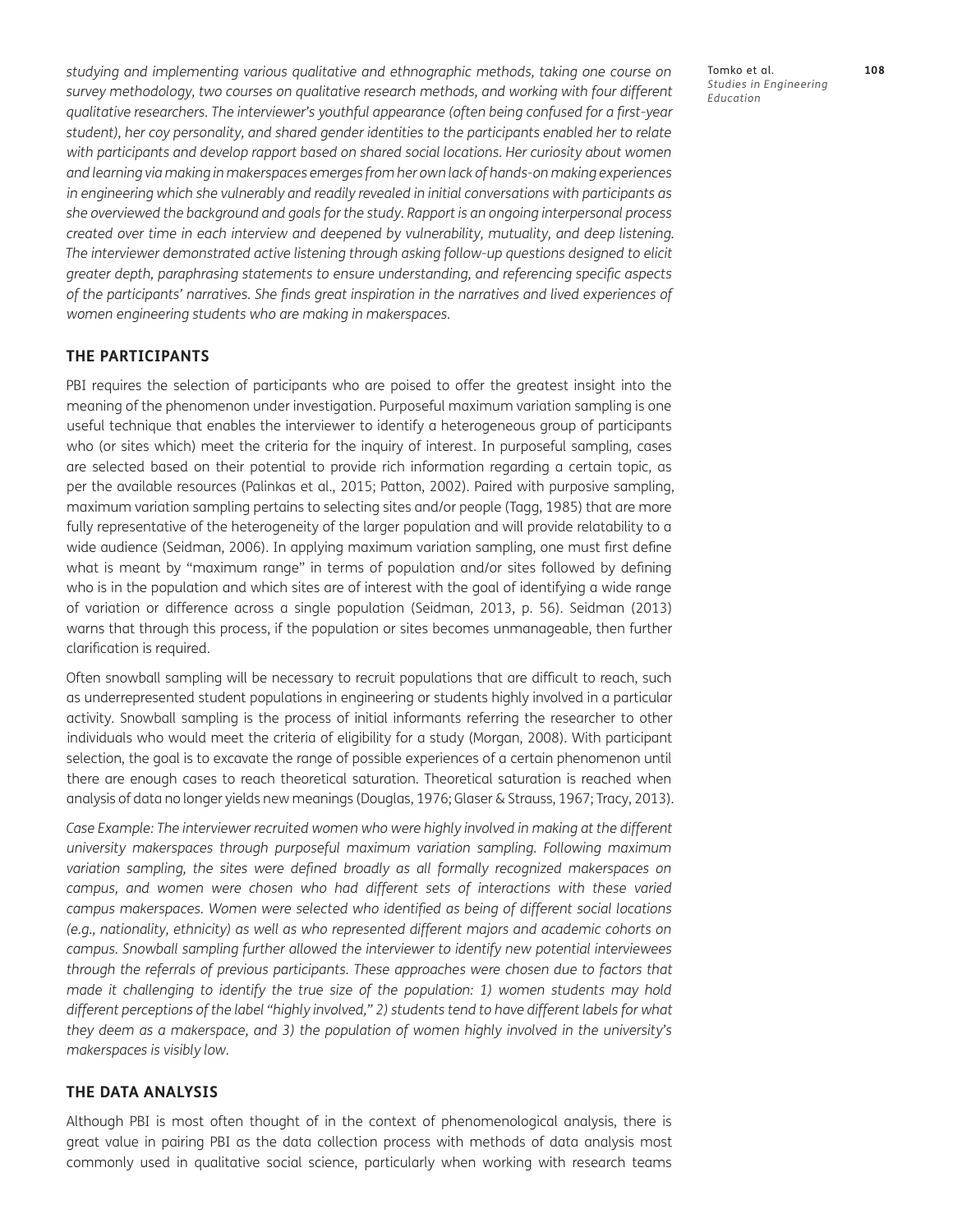*studying and implementing various qualitative and ethnographic methods, taking one course on survey methodology, two courses on qualitative research methods, and working with four different qualitative researchers. The interviewer's youthful appearance (often being confused for a first-year student), her coy personality, and shared gender identities to the participants enabled her to relate*  with participants and develop rapport based on shared social locations. Her curiosity about women *and learning via making in makerspaces emerges from her own lack of hands-on making experiences in engineering which she vulnerably and readily revealed in initial conversations with participants as she overviewed the background and goals for the study. Rapport is an ongoing interpersonal process created over time in each interview and deepened by vulnerability, mutuality, and deep listening. The interviewer demonstrated active listening through asking follow-up questions designed to elicit greater depth, paraphrasing statements to ensure understanding, and referencing specific aspects of the participants' narratives. She finds great inspiration in the narratives and lived experiences of women engineering students who are making in makerspaces.*

### **THE PARTICIPANTS**

PBI requires the selection of participants who are poised to offer the greatest insight into the meaning of the phenomenon under investigation. Purposeful maximum variation sampling is one useful technique that enables the interviewer to identify a heterogeneous group of participants who (or sites which) meet the criteria for the inquiry of interest. In purposeful sampling, cases are selected based on their potential to provide rich information regarding a certain topic, as per the available resources ([Palinkas et al., 2015](#page-18-0); [Patton, 2002\)](#page-18-0). Paired with purposive sampling, maximum variation sampling pertains to selecting sites and/or people [\(Tagg, 1985](#page-18-0)) that are more fully representative of the heterogeneity of the larger population and will provide relatability to a wide audience [\(Seidman, 2006\)](#page-18-0). In applying maximum variation sampling, one must first define what is meant by "maximum range" in terms of population and/or sites followed by defining who is in the population and which sites are of interest with the goal of identifying a wide range of variation or difference across a single population ([Seidman, 2013](#page-18-0), p. 56). [Seidman \(2013\)](#page-18-0) warns that through this process, if the population or sites becomes unmanageable, then further clarification is required.

Often snowball sampling will be necessary to recruit populations that are difficult to reach, such as underrepresented student populations in engineering or students highly involved in a particular activity. Snowball sampling is the process of initial informants referring the researcher to other individuals who would meet the criteria of eligibility for a study [\(Morgan, 2008](#page-17-0)). With participant selection, the goal is to excavate the range of possible experiences of a certain phenomenon until there are enough cases to reach theoretical saturation. Theoretical saturation is reached when analysis of data no longer yields new meanings ([Douglas, 1976](#page-16-0); [Glaser & Strauss, 1967](#page-16-0); [Tracy, 2013](#page-18-0)).

*Case Example: The interviewer recruited women who were highly involved in making at the different university makerspaces through purposeful maximum variation sampling. Following maximum*  variation sampling, the sites were defined broadly as all formally recognized makerspaces on campus, and women were chosen who had different sets of interactions with these varied *campus makerspaces. Women were selected who identified as being of different social locations (e.g., nationality, ethnicity) as well as who represented different majors and academic cohorts on campus. Snowball sampling further allowed the interviewer to identify new potential interviewees through the referrals of previous participants. These approaches were chosen due to factors that made it challenging to identify the true size of the population: 1) women students may hold different perceptions of the label "highly involved," 2) students tend to have different labels for what they deem as a makerspace, and 3) the population of women highly involved in the university's makerspaces is visibly low.* 

#### **THE DATA ANALYSIS**

Although PBI is most often thought of in the context of phenomenological analysis, there is great value in pairing PBI as the data collection process with methods of data analysis most commonly used in qualitative social science, particularly when working with research teams

Tomko et al. **108** *Studies in Engineering Education*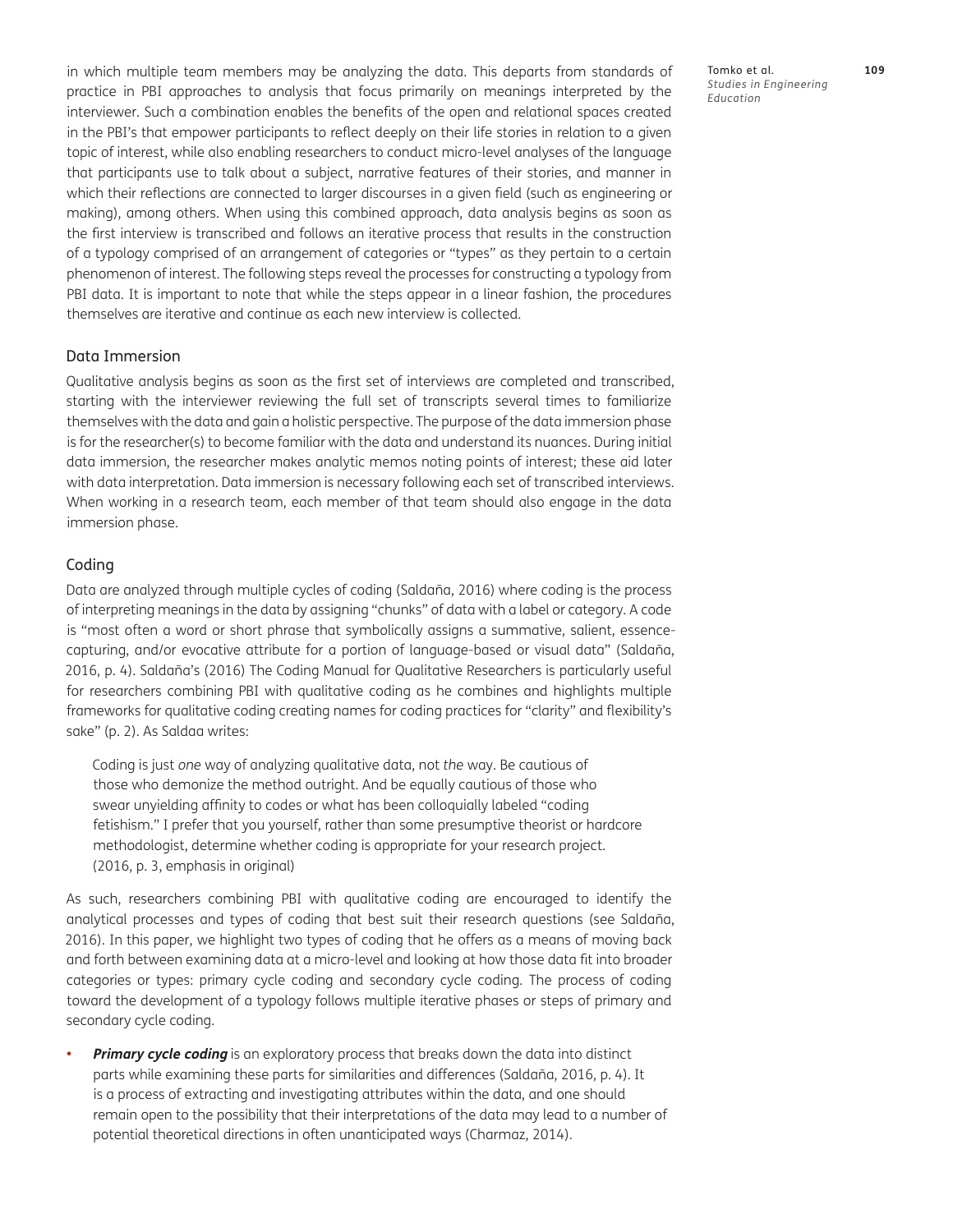in which multiple team members may be analyzing the data. This departs from standards of practice in PBI approaches to analysis that focus primarily on meanings interpreted by the interviewer. Such a combination enables the benefits of the open and relational spaces created in the PBI's that empower participants to reflect deeply on their life stories in relation to a given topic of interest, while also enabling researchers to conduct micro-level analyses of the language that participants use to talk about a subject, narrative features of their stories, and manner in which their reflections are connected to larger discourses in a given field (such as engineering or making), among others. When using this combined approach, data analysis begins as soon as the first interview is transcribed and follows an iterative process that results in the construction of a typology comprised of an arrangement of categories or "types" as they pertain to a certain phenomenon of interest. The following steps reveal the processes for constructing a typology from PBI data. It is important to note that while the steps appear in a linear fashion, the procedures themselves are iterative and continue as each new interview is collected.

### Data Immersion

Qualitative analysis begins as soon as the first set of interviews are completed and transcribed, starting with the interviewer reviewing the full set of transcripts several times to familiarize themselves with the data and gain a holistic perspective. The purpose of the data immersion phase is for the researcher(s) to become familiar with the data and understand its nuances. During initial data immersion, the researcher makes analytic memos noting points of interest; these aid later with data interpretation. Data immersion is necessary following each set of transcribed interviews. When working in a research team, each member of that team should also engage in the data immersion phase.

### Coding

Data are analyzed through multiple cycles of coding [\(Saldaña, 2016](#page-18-0)) where coding is the process of interpreting meanings in the data by assigning "chunks" of data with a label or category. A code is "most often a word or short phrase that symbolically assigns a summative, salient, essencecapturing, and/or evocative attribute for a portion of language-based or visual data" ([Saldaña,](#page-18-0)  [2016](#page-18-0), p. 4). Saldaña's [\(2016\)](#page-18-0) The Coding Manual for Qualitative Researchers is particularly useful for researchers combining PBI with qualitative coding as he combines and highlights multiple frameworks for qualitative coding creating names for coding practices for "clarity" and flexibility's sake" (p. 2). As Saldaa writes:

Coding is just *one* way of analyzing qualitative data, not *the* way. Be cautious of those who demonize the method outright. And be equally cautious of those who swear unyielding affinity to codes or what has been colloquially labeled "coding fetishism." I prefer that you yourself, rather than some presumptive theorist or hardcore methodologist, determine whether coding is appropriate for your research project. (2016, p. 3, emphasis in original)

As such, researchers combining PBI with qualitative coding are encouraged to identify the analytical processes and types of coding that best suit their research questions (see [Saldaña,](#page-18-0)  [2016](#page-18-0)). In this paper, we highlight two types of coding that he offers as a means of moving back and forth between examining data at a micro-level and looking at how those data fit into broader categories or types: primary cycle coding and secondary cycle coding. The process of coding toward the development of a typology follows multiple iterative phases or steps of primary and secondary cycle coding.

**Primary cycle coding** is an exploratory process that breaks down the data into distinct parts while examining these parts for similarities and differences ([Saldaña, 2016](#page-18-0), p. 4). It is a process of extracting and investigating attributes within the data, and one should remain open to the possibility that their interpretations of the data may lead to a number of potential theoretical directions in often unanticipated ways ([Charmaz, 2014\)](#page-16-0).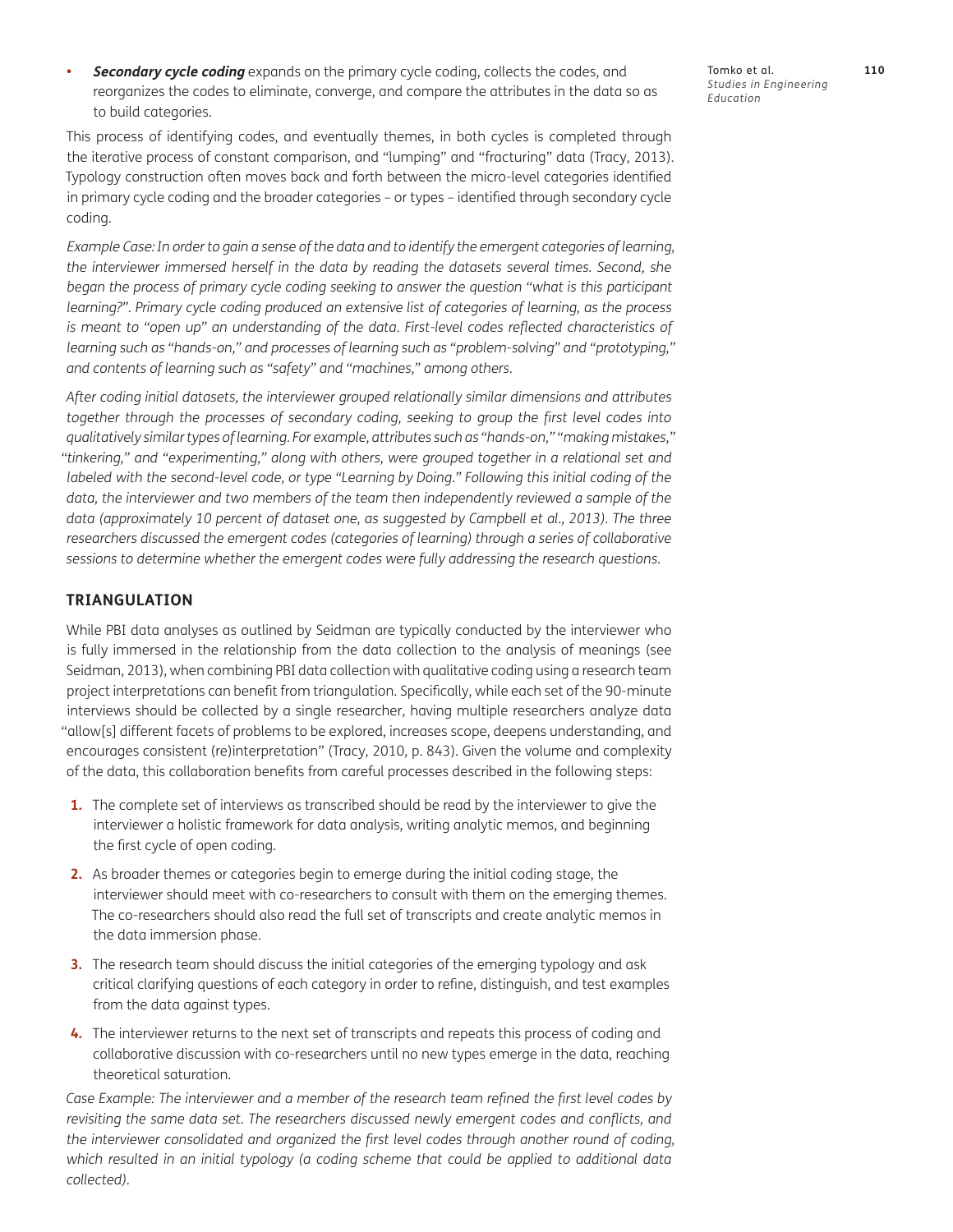**Secondary cycle coding** expands on the primary cycle coding, collects the codes, and reorganizes the codes to eliminate, converge, and compare the attributes in the data so as to build categories.

This process of identifying codes, and eventually themes, in both cycles is completed through the iterative process of constant comparison, and "lumping" and "fracturing" data ([Tracy, 2013](#page-18-0)). Typology construction often moves back and forth between the micro-level categories identified in primary cycle coding and the broader categories – or types – identified through secondary cycle coding.

Example Case: *In order to gain a sense of the data and to identify the emergent categories of learning, the interviewer immersed herself in the data by reading the datasets several times. Second, she began the process of primary cycle coding seeking to answer the question "what is this participant learning?". Primary cycle coding produced an extensive list of categories of learning, as the process is meant to "open up" an understanding of the data. First-level codes reflected characteristics of learning such as "hands-on," and processes of learning such as "problem-solving" and "prototyping," and contents of learning such as "safety" and "machines," among others.* 

*After coding initial datasets, the interviewer grouped relationally similar dimensions and attributes together through the processes of secondary coding, seeking to group the first level codes into qualitatively similar types of learning. For example, attributes such as "hands-on," "making mistakes," "tinkering," and "experimenting," along with others, were grouped together in a relational set and labeled with the second-level code, or type "Learning by Doing." Following this initial coding of the* data, the interviewer and two members of the team then independently reviewed a sample of the *data (approximately 10 percent of dataset one, as suggested by [Campbell et al., 2013](#page-16-0)). The three*  researchers discussed the emergent codes (categories of learning) through a series of collaborative *sessions to determine whether the emergent codes were fully addressing the research questions.* 

## **TRIANGULATION**

While PBI data analyses as outlined by Seidman are typically conducted by the interviewer who is fully immersed in the relationship from the data collection to the analysis of meanings (see [Seidman, 2013](#page-18-0)), when combining PBI data collection with qualitative coding using a research team project interpretations can benefit from triangulation. Specifically, while each set of the 90-minute interviews should be collected by a single researcher, having multiple researchers analyze data "allow[s] different facets of problems to be explored, increases scope, deepens understanding, and encourages consistent (re)interpretation" ([Tracy, 2010](#page-18-0), p. 843). Given the volume and complexity of the data, this collaboration benefits from careful processes described in the following steps:

- **1.** The complete set of interviews as transcribed should be read by the interviewer to give the interviewer a holistic framework for data analysis, writing analytic memos, and beginning the first cycle of open coding.
- **2.** As broader themes or categories begin to emerge during the initial coding stage, the interviewer should meet with co-researchers to consult with them on the emerging themes. The co-researchers should also read the full set of transcripts and create analytic memos in the data immersion phase.
- **3.** The research team should discuss the initial categories of the emerging typology and ask critical clarifying questions of each category in order to refine, distinguish, and test examples from the data against types.
- **4.** The interviewer returns to the next set of transcripts and repeats this process of coding and collaborative discussion with co-researchers until no new types emerge in the data, reaching theoretical saturation.

*Case Example: The interviewer and a member of the research team refined the first level codes by*  revisiting the same data set. The researchers discussed newly emergent codes and conflicts, and *the interviewer consolidated and organized the first level codes through another round of coding, which resulted in an initial typology (a coding scheme that could be applied to additional data collected).* 

Tomko et al. **110** *Studies in Engineering Education*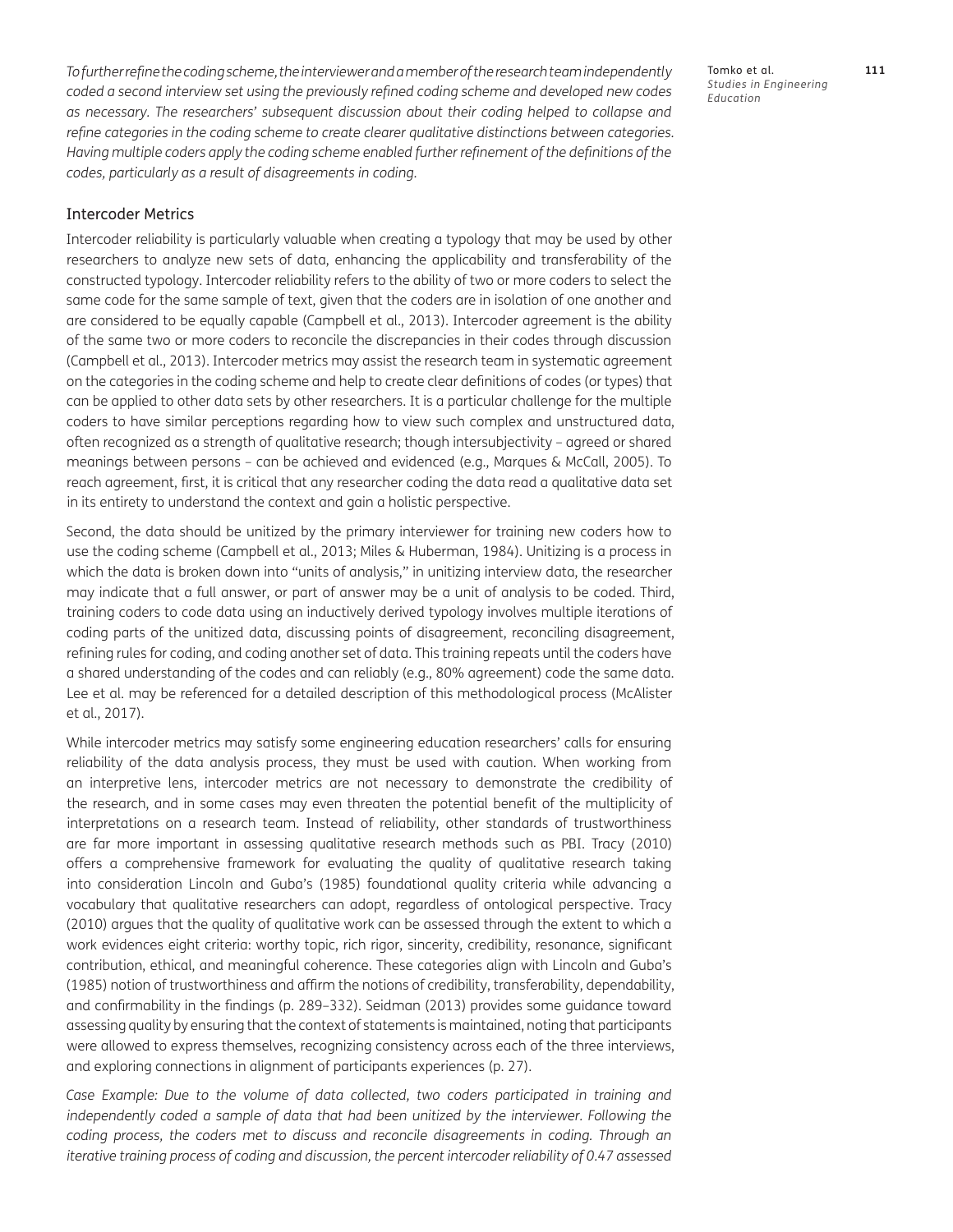*To further refine the coding scheme, the interviewer and a member of the research team independently coded a second interview set using the previously refined coding scheme and developed new codes as necessary. The researchers' subsequent discussion about their coding helped to collapse and refine categories in the coding scheme to create clearer qualitative distinctions between categories. Having multiple coders apply the coding scheme enabled further refinement of the definitions of the codes, particularly as a result of disagreements in coding.* 

## Intercoder Metrics

Intercoder reliability is particularly valuable when creating a typology that may be used by other researchers to analyze new sets of data, enhancing the applicability and transferability of the constructed typology. Intercoder reliability refers to the ability of two or more coders to select the same code for the same sample of text, given that the coders are in isolation of one another and are considered to be equally capable [\(Campbell et al., 2013](#page-16-0)). Intercoder agreement is the ability of the same two or more coders to reconcile the discrepancies in their codes through discussion [\(Campbell et al., 2013\)](#page-16-0). Intercoder metrics may assist the research team in systematic agreement on the categories in the coding scheme and help to create clear definitions of codes (or types) that can be applied to other data sets by other researchers. It is a particular challenge for the multiple coders to have similar perceptions regarding how to view such complex and unstructured data, often recognized as a strength of qualitative research; though intersubjectivity – agreed or shared meanings between persons – can be achieved and evidenced (e.g., [Marques & McCall, 2005\)](#page-17-0). To reach agreement, first, it is critical that any researcher coding the data read a qualitative data set in its entirety to understand the context and gain a holistic perspective.

Second, the data should be unitized by the primary interviewer for training new coders how to use the coding scheme ([Campbell et al., 2013;](#page-16-0) [Miles & Huberman, 1984\)](#page-17-0). Unitizing is a process in which the data is broken down into "units of analysis," in unitizing interview data, the researcher may indicate that a full answer, or part of answer may be a unit of analysis to be coded. Third, training coders to code data using an inductively derived typology involves multiple iterations of coding parts of the unitized data, discussing points of disagreement, reconciling disagreement, refining rules for coding, and coding another set of data. This training repeats until the coders have a shared understanding of the codes and can reliably (e.g., 80% agreement) code the same data. Lee et al. may be referenced for a detailed description of this methodological process ([McAlister](#page-17-0) [et al., 2017\)](#page-17-0).

While intercoder metrics may satisfy some engineering education researchers' calls for ensuring reliability of the data analysis process, they must be used with caution. When working from an interpretive lens, intercoder metrics are not necessary to demonstrate the credibility of the research, and in some cases may even threaten the potential benefit of the multiplicity of interpretations on a research team. Instead of reliability, other standards of trustworthiness are far more important in assessing qualitative research methods such as PBI. [Tracy \(2010\)](#page-18-0) offers a comprehensive framework for evaluating the quality of qualitative research taking into consideration [Lincoln and Guba's \(1985\)](#page-17-0) foundational quality criteria while advancing a vocabulary that qualitative researchers can adopt, regardless of ontological perspective. [Tracy](#page-18-0)  [\(2010\)](#page-18-0) argues that the quality of qualitative work can be assessed through the extent to which a work evidences eight criteria: worthy topic, rich rigor, sincerity, credibility, resonance, significant contribution, ethical, and meaningful coherence. These categories align with [Lincoln and Guba's](#page-17-0)  [\(1985\)](#page-17-0) notion of trustworthiness and affirm the notions of credibility, transferability, dependability, and confirmability in the findings (p. 289–332). [Seidman \(2013\)](#page-18-0) provides some guidance toward assessing quality by ensuring that the context of statements is maintained, noting that participants were allowed to express themselves, recognizing consistency across each of the three interviews, and exploring connections in alignment of participants experiences (p. 27).

Case Example: Due to the volume of data collected, two coders participated in training and *independently coded a sample of data that had been unitized by the interviewer. Following the coding process, the coders met to discuss and reconcile disagreements in coding. Through an iterative training process of coding and discussion, the percent intercoder reliability of 0.47 assessed*  Tomko et al. **111** *Studies in Engineering Education*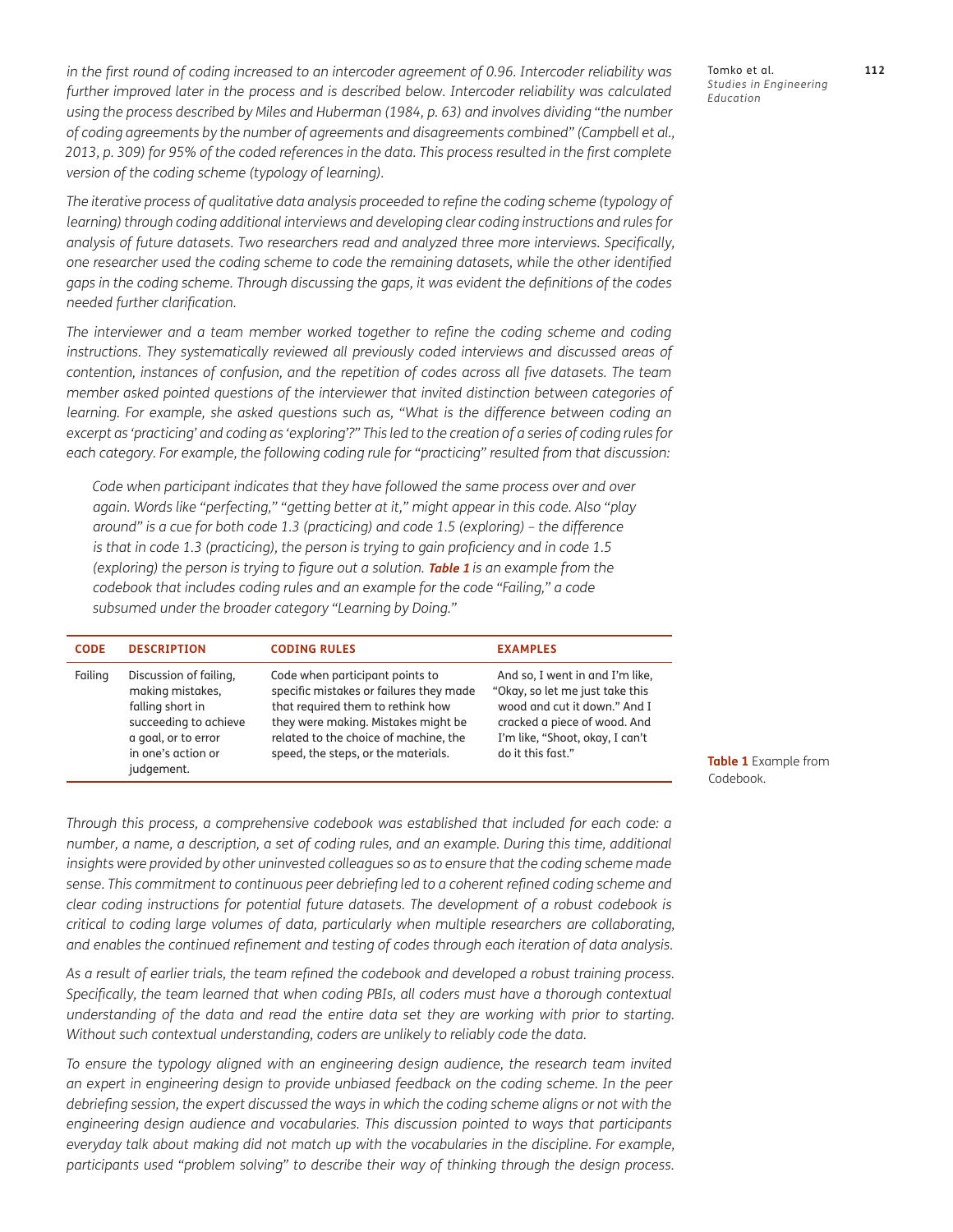*in the first round of coding increased to an intercoder agreement of 0.96. Intercoder reliability was*  further improved later in the process and is described below. Intercoder reliability was calculated *using the process described by Miles and Huberman [\(1984](#page-17-0), p. 63) and involves dividing "the number of coding agreements by the number of agreements and disagreements combined" ([Campbell et al.,](#page-16-0)  [2013](#page-16-0), p. 309) for 95% of the coded references in the data. This process resulted in the first complete version of the coding scheme (typology of learning).*

*The iterative process of qualitative data analysis proceeded to refine the coding scheme (typology of learning) through coding additional interviews and developing clear coding instructions and rules for analysis of future datasets. Two researchers read and analyzed three more interviews. Specifically, one researcher used the coding scheme to code the remaining datasets, while the other identified gaps in the coding scheme. Through discussing the gaps, it was evident the definitions of the codes needed further clarification.* 

The interviewer and a team member worked together to refine the coding scheme and coding *instructions. They systematically reviewed all previously coded interviews and discussed areas of contention, instances of confusion, and the repetition of codes across all five datasets. The team member asked pointed questions of the interviewer that invited distinction between categories of*  learning. For example, she asked questions such as, "What is the difference between coding an *excerpt as 'practicing' and coding as 'exploring'?" This led to the creation of a series of coding rules for each category. For example, the following coding rule for "practicing" resulted from that discussion:* 

*Code when participant indicates that they have followed the same process over and over again. Words like "perfecting," "getting better at it," might appear in this code. Also "play around" is a cue for both code 1.3 (practicing) and code 1.5 (exploring) – the difference is that in code 1.3 (practicing), the person is trying to gain proficiency and in code 1.5 (exploring) the person is trying to figure out a solution. [Table 1](#page-12-0) <i>is an example from the codebook that includes coding rules and an example for the code "Failing," a code subsumed under the broader category "Learning by Doing."* 

| <b>CODE</b> | <b>DESCRIPTION</b>                                                                                                                                 | <b>CODING RULES</b>                                                                                                                                                                                                                    | <b>EXAMPLES</b>                                                                                                                                                                            |
|-------------|----------------------------------------------------------------------------------------------------------------------------------------------------|----------------------------------------------------------------------------------------------------------------------------------------------------------------------------------------------------------------------------------------|--------------------------------------------------------------------------------------------------------------------------------------------------------------------------------------------|
| Failing     | Discussion of failing,<br>making mistakes,<br>falling short in<br>succeeding to achieve<br>a goal, or to error<br>in one's action or<br>judgement. | Code when participant points to<br>specific mistakes or failures they made<br>that required them to rethink how<br>they were making. Mistakes might be<br>related to the choice of machine, the<br>speed, the steps, or the materials. | And so, I went in and I'm like,<br>"Okay, so let me just take this<br>wood and cut it down." And I<br>cracked a piece of wood. And<br>I'm like, "Shoot, okay, I can't<br>do it this fast." |

*Through this process, a comprehensive codebook was established that included for each code: a number, a name, a description, a set of coding rules, and an example. During this time, additional* insights were provided by other uninvested colleagues so as to ensure that the coding scheme made *sense. This commitment to continuous peer debriefing led to a coherent refined coding scheme and clear coding instructions for potential future datasets. The development of a robust codebook is critical to coding large volumes of data, particularly when multiple researchers are collaborating, and enables the continued refinement and testing of codes through each iteration of data analysis.*

*As a result of earlier trials, the team refined the codebook and developed a robust training process.*  Specifically, the team learned that when coding PBIs, all coders must have a thorough contextual *understanding of the data and read the entire data set they are working with prior to starting. Without such contextual understanding, coders are unlikely to reliably code the data.*

*To ensure the typology aligned with an engineering design audience, the research team invited an expert in engineering design to provide unbiased feedback on the coding scheme. In the peer debriefing session, the expert discussed the ways in which the coding scheme aligns or not with the engineering design audience and vocabularies. This discussion pointed to ways that participants everyday talk about making did not match up with the vocabularies in the discipline. For example, participants used "problem solving" to describe their way of thinking through the design process.* 

Tomko et al. **112** *Studies in Engineering Education*

<span id="page-12-0"></span>**Table 1** Example from Codebook.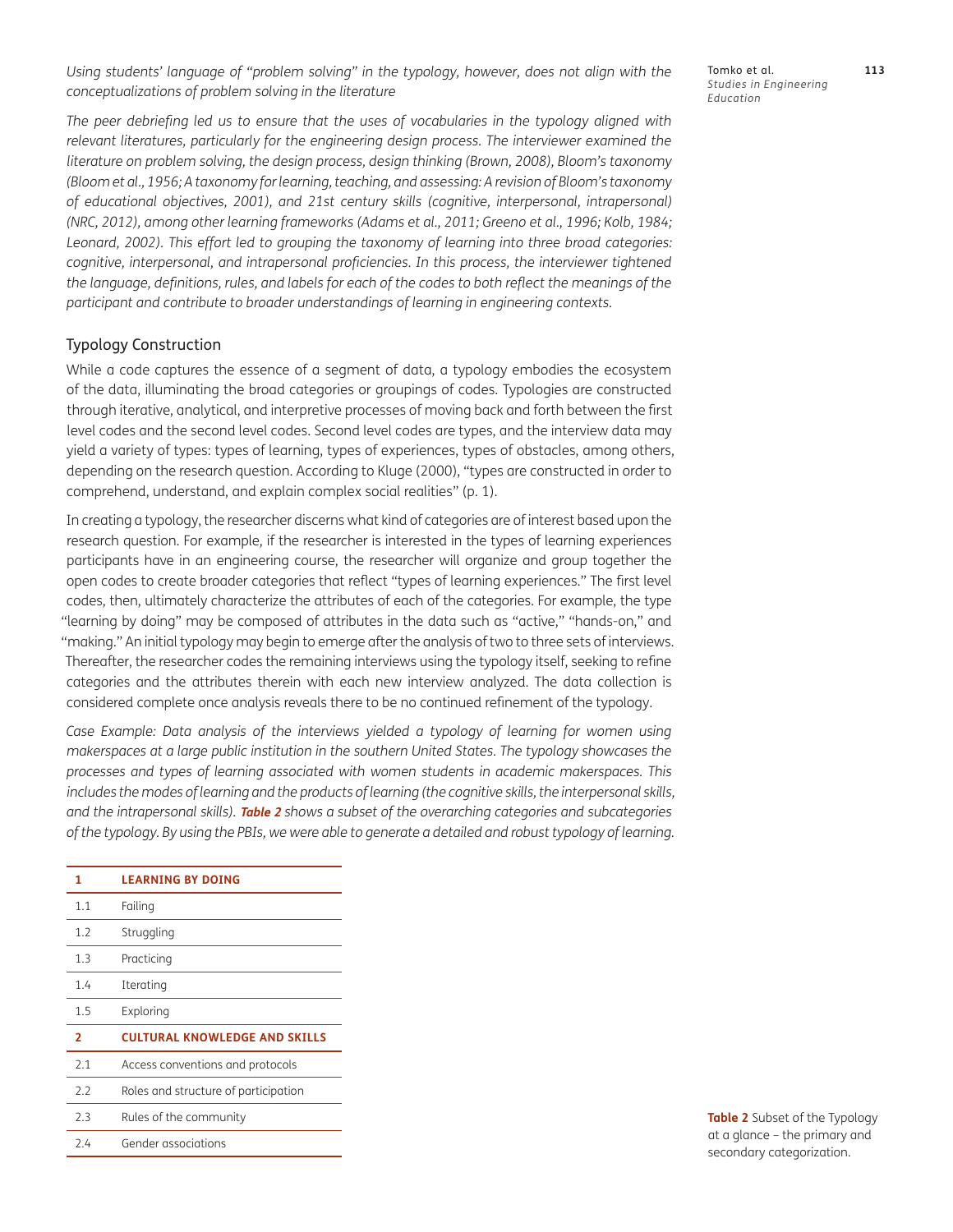*Using students' language of "problem solving" in the typology, however, does not align with the conceptualizations of problem solving in the literature*

Tomko et al. **113** *Studies in Engineering Education*

*The peer debriefing led us to ensure that the uses of vocabularies in the typology aligned with relevant literatures, particularly for the engineering design process. The interviewer examined the literature on problem solving, the design process, design thinking ([Brown, 2008](#page-16-0)), Bloom's taxonomy [\(Bloom et al., 1956;](#page-16-0) A taxonomy for learning, teaching, and assessing: A revision of Bloom's taxonomy of educational objectives, [2001](#page-18-0)), and 21st century skills (cognitive, interpersonal, intrapersonal) [\(NRC, 2012\)](#page-17-0), among other learning frameworks [\(Adams et al., 2011; Greeno et al., 1996](#page-16-0); [Kolb, 1984;](#page-16-0) [Leonard, 2002](#page-17-0)). This effort led to grouping the taxonomy of learning into three broad categories: cognitive, interpersonal, and intrapersonal proficiencies. In this process, the interviewer tightened the language, definitions, rules, and labels for each of the codes to both reflect the meanings of the participant and contribute to broader understandings of learning in engineering contexts.* 

## Typology Construction

While a code captures the essence of a segment of data, a typology embodies the ecosystem of the data, illuminating the broad categories or groupings of codes. Typologies are constructed through iterative, analytical, and interpretive processes of moving back and forth between the first level codes and the second level codes. Second level codes are types, and the interview data may yield a variety of types: types of learning, types of experiences, types of obstacles, among others, depending on the research question. According to [Kluge \(2000\),](#page-17-0) "types are constructed in order to comprehend, understand, and explain complex social realities" (p. 1).

In creating a typology, the researcher discerns what kind of categories are of interest based upon the research question. For example, if the researcher is interested in the types of learning experiences participants have in an engineering course, the researcher will organize and group together the open codes to create broader categories that reflect "types of learning experiences." The first level codes, then, ultimately characterize the attributes of each of the categories. For example, the type "learning by doing" may be composed of attributes in the data such as "active," "hands-on," and "making." An initial typology may begin to emerge after the analysis of two to three sets of interviews. Thereafter, the researcher codes the remaining interviews using the typology itself, seeking to refine categories and the attributes therein with each new interview analyzed. The data collection is considered complete once analysis reveals there to be no continued refinement of the typology.

*Case Example: Data analysis of the interviews yielded a typology of learning for women using makerspaces at a large public institution in the southern United States. The typology showcases the processes and types of learning associated with women students in academic makerspaces. This*  includes the modes of learning and the products of learning (the cognitive skills, the interpersonal skills, *and the intrapersonal skills).* **[Table 2](#page-13-0)** *shows a subset of the overarching categories and subcategories of the typology. By using the PBIs, we were able to generate a detailed and robust typology of learning.*

| 1              | <b>LEARNING BY DOING</b>             |
|----------------|--------------------------------------|
| 1.1            | Failing                              |
| 1.2            | Struggling                           |
| 1.3            | Practicing                           |
| 1.4            | Iterating                            |
| 1.5            | Exploring                            |
| $\overline{2}$ | <b>CULTURAL KNOWLEDGE AND SKILLS</b> |
| 2.1            | Access conventions and protocols     |
| 2.2            | Roles and structure of participation |
| 2.3            | Rules of the community               |
| 2.4            | Gender associations                  |

<span id="page-13-0"></span>**Table 2** Subset of the Typology at a glance – the primary and secondary categorization.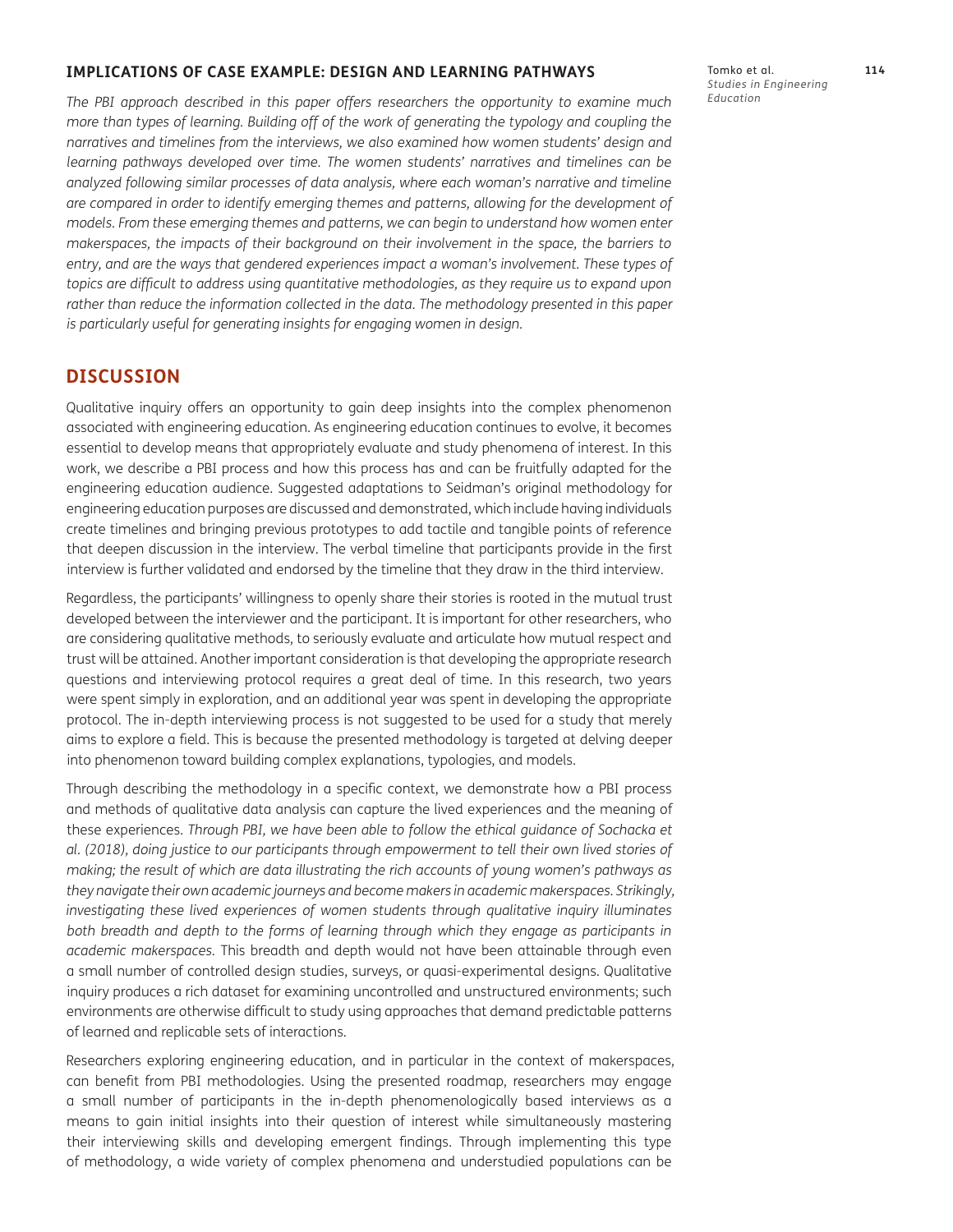### <span id="page-14-0"></span>**IMPLICATIONS OF CASE EXAMPLE: DESIGN AND LEARNING PATHWAYS**

*The PBI approach described in this paper offers researchers the opportunity to examine much more than types of learning. Building off of the work of generating the typology and coupling the narratives and timelines from the interviews, we also examined how women students' design and learning pathways developed over time. The women students' narratives and timelines can be analyzed following similar processes of data analysis, where each woman's narrative and timeline are compared in order to identify emerging themes and patterns, allowing for the development of models. From these emerging themes and patterns, we can begin to understand how women enter makerspaces, the impacts of their background on their involvement in the space, the barriers to entry, and are the ways that gendered experiences impact a woman's involvement. These types of topics are difficult to address using quantitative methodologies, as they require us to expand upon*  rather than reduce the information collected in the data. The methodology presented in this paper *is particularly useful for generating insights for engaging women in design.* 

## **DISCUSSION**

Qualitative inquiry offers an opportunity to gain deep insights into the complex phenomenon associated with engineering education. As engineering education continues to evolve, it becomes essential to develop means that appropriately evaluate and study phenomena of interest. In this work, we describe a PBI process and how this process has and can be fruitfully adapted for the engineering education audience. Suggested adaptations to Seidman's original methodology for engineering education purposes are discussed and demonstrated, which include having individuals create timelines and bringing previous prototypes to add tactile and tangible points of reference that deepen discussion in the interview. The verbal timeline that participants provide in the first interview is further validated and endorsed by the timeline that they draw in the third interview.

Regardless, the participants' willingness to openly share their stories is rooted in the mutual trust developed between the interviewer and the participant. It is important for other researchers, who are considering qualitative methods, to seriously evaluate and articulate how mutual respect and trust will be attained. Another important consideration is that developing the appropriate research questions and interviewing protocol requires a great deal of time. In this research, two years were spent simply in exploration, and an additional year was spent in developing the appropriate protocol. The in-depth interviewing process is not suggested to be used for a study that merely aims to explore a field. This is because the presented methodology is targeted at delving deeper into phenomenon toward building complex explanations, typologies, and models.

Through describing the methodology in a specific context, we demonstrate how a PBI process and methods of qualitative data analysis can capture the lived experiences and the meaning of these experiences. *Through PBI, we have been able to follow the ethical guidance of Sochacka et al. [\(2018\)](#page-18-0), doing justice to our participants through empowerment to tell their own lived stories of making; the result of which are data illustrating the rich accounts of young women's pathways as they navigate their own academic journeys and become makers in academic makerspaces. Strikingly, investigating these lived experiences of women students through qualitative inquiry illuminates* both breadth and depth to the forms of learning through which they engage as participants in *academic makerspaces.* This breadth and depth would not have been attainable through even a small number of controlled design studies, surveys, or quasi-experimental designs. Qualitative inquiry produces a rich dataset for examining uncontrolled and unstructured environments; such environments are otherwise difficult to study using approaches that demand predictable patterns of learned and replicable sets of interactions.

Researchers exploring engineering education, and in particular in the context of makerspaces, can benefit from PBI methodologies. Using the presented roadmap, researchers may engage a small number of participants in the in-depth phenomenologically based interviews as a means to gain initial insights into their question of interest while simultaneously mastering their interviewing skills and developing emergent findings. Through implementing this type of methodology, a wide variety of complex phenomena and understudied populations can be

Tomko et al. **114** *Studies in Engineering Education*